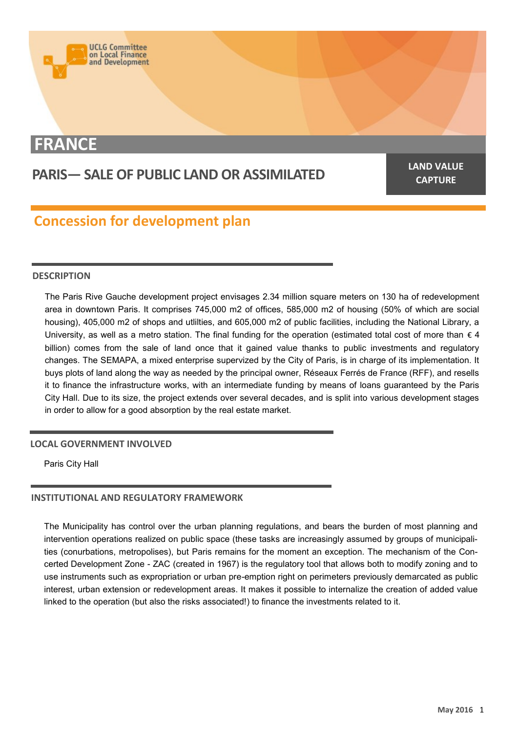

# **FRANCE**

# **PARIS— SALE OF PUBLIC LAND OR ASSIMILATED**

**LAND VALUE CAPTURE**

# **Concession for development plan**

# **DESCRIPTION**

The Paris Rive Gauche development project envisages 2.34 million square meters on 130 ha of redevelopment area in downtown Paris. It comprises 745,000 m2 of offices, 585,000 m2 of housing (50% of which are social housing), 405,000 m2 of shops and utlilties, and 605,000 m2 of public facilities, including the National Library, a University, as well as a metro station. The final funding for the operation (estimated total cost of more than  $\epsilon$  4 billion) comes from the sale of land once that it gained value thanks to public investments and regulatory changes. The SEMAPA, a mixed enterprise supervized by the City of Paris, is in charge of its implementation. It buys plots of land along the way as needed by the principal owner, Réseaux Ferrés de France (RFF), and resells it to finance the infrastructure works, with an intermediate funding by means of loans guaranteed by the Paris City Hall. Due to its size, the project extends over several decades, and is split into various development stages in order to allow for a good absorption by the real estate market.

# **LOCAL GOVERNMENT INVOLVED**

Paris City Hall

# **INSTITUTIONAL AND REGULATORY FRAMEWORK**

The Municipality has control over the urban planning regulations, and bears the burden of most planning and intervention operations realized on public space (these tasks are increasingly assumed by groups of municipalities (conurbations, metropolises), but Paris remains for the moment an exception. The mechanism of the Concerted Development Zone - ZAC (created in 1967) is the regulatory tool that allows both to modify zoning and to use instruments such as expropriation or urban pre-emption right on perimeters previously demarcated as public interest, urban extension or redevelopment areas. It makes it possible to internalize the creation of added value linked to the operation (but also the risks associated!) to finance the investments related to it.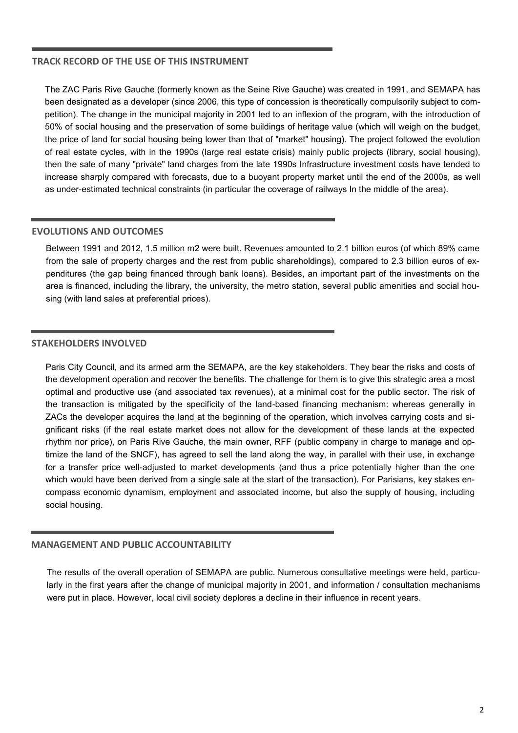# **TRACK RECORD OF THE USE OF THIS INSTRUMENT**

The ZAC Paris Rive Gauche (formerly known as the Seine Rive Gauche) was created in 1991, and SEMAPA has been designated as a developer (since 2006, this type of concession is theoretically compulsorily subject to competition). The change in the municipal majority in 2001 led to an inflexion of the program, with the introduction of 50% of social housing and the preservation of some buildings of heritage value (which will weigh on the budget, the price of land for social housing being lower than that of "market" housing). The project followed the evolution of real estate cycles, with in the 1990s (large real estate crisis) mainly public projects (library, social housing), then the sale of many "private" land charges from the late 1990s Infrastructure investment costs have tended to increase sharply compared with forecasts, due to a buoyant property market until the end of the 2000s, as well as under-estimated technical constraints (in particular the coverage of railways In the middle of the area).

# **EVOLUTIONS AND OUTCOMES**

Between 1991 and 2012, 1.5 million m2 were built. Revenues amounted to 2.1 billion euros (of which 89% came from the sale of property charges and the rest from public shareholdings), compared to 2.3 billion euros of expenditures (the gap being financed through bank loans). Besides, an important part of the investments on the area is financed, including the library, the university, the metro station, several public amenities and social housing (with land sales at preferential prices).

# **STAKEHOLDERS INVOLVED**

Paris City Council, and its armed arm the SEMAPA, are the key stakeholders. They bear the risks and costs of the development operation and recover the benefits. The challenge for them is to give this strategic area a most optimal and productive use (and associated tax revenues), at a minimal cost for the public sector. The risk of the transaction is mitigated by the specificity of the land-based financing mechanism: whereas generally in ZACs the developer acquires the land at the beginning of the operation, which involves carrying costs and significant risks (if the real estate market does not allow for the development of these lands at the expected rhythm nor price), on Paris Rive Gauche, the main owner, RFF (public company in charge to manage and optimize the land of the SNCF), has agreed to sell the land along the way, in parallel with their use, in exchange for a transfer price well-adjusted to market developments (and thus a price potentially higher than the one which would have been derived from a single sale at the start of the transaction). For Parisians, key stakes encompass economic dynamism, employment and associated income, but also the supply of housing, including social housing.

# **MANAGEMENT AND PUBLIC ACCOUNTABILITY**

The results of the overall operation of SEMAPA are public. Numerous consultative meetings were held, particularly in the first years after the change of municipal majority in 2001, and information / consultation mechanisms were put in place. However, local civil society deplores a decline in their influence in recent years.